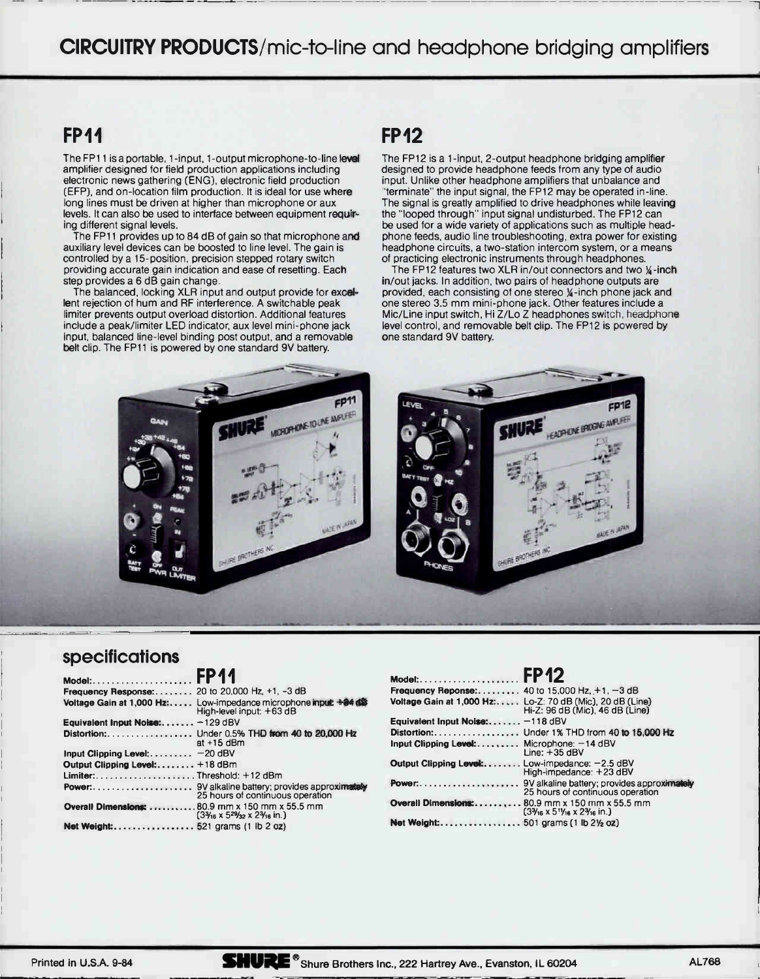CIRCUITRY PRODUCTS/mic-to-line and headphone bridging amplifiers

# FP11

The FP11 is a portable, 1-input, 1-output microphone-to-line level amplifier designed for field production applications including electronic news gathering (ENG), electronic field production (EFP), and on-location film production. It is ideal for use where long lines must be driven at higher than microphone or aux levels. It can also be used to interface between equipment requiring different signal levels.

The FP11 provides up to 84 dB of gain so that microphone and auxiliary level devices can be boosted to line level. The gain is controlled by a 15-position, precision stepped rotary switch providing accurate gain indication and ease of resetting. Each step provides a 6 dB gain change.

The balanced, locking XLR input and output provide for excellent rejection of hum and RF interference. A switchable peak limiter prevents output overload distortion. Additional features include a peak/limiter LED indicator, aux level mini-phone jack input, balanced line-level binding post output, and a removable belt clip. The FP11 is powered by one standard 9V battery.

# FP12

The FP12 is a 1-input, 2-output headphone bridging amplifier designed to provide headphone feeds from any type of audio input. Unlike other headphone amplifiers that unbalance and "terminate" the input signal, the FP12 may be operated in-line. The signal is greatly amplified to drive headphones while leaving the "looped through" input signal undisturbed. The FP12 can be used for a wide variety of applications such as multiple headphone feeds, audio line troubleshooting, extra power for existing headphone circuits, a two-station intercom system, or a means of practicing electronic instruments through headphones.

The FP12 features two XLR in/out connectors and two  $\frac{1}{4}$ -inch in/out jacks. In addition, two pairs of headphone outputs are provided, each consisting of one stereo X-inch phone jack and one stereo 3.5 mm mini-phone jack. Other features include a Mic/Line input switch, Hi Z/Lo Z headphones switch, headphone level control, and removable belt clip. The FP12 is powered by one standard 9V battery.



### specifications

| Model: FP11                                                                                    | Model:           |
|------------------------------------------------------------------------------------------------|------------------|
| Frequency Response:  20 to 20,000 Hz, +1, -3 dB                                                | <b>Frequen</b>   |
| Voltage Gain at 1,000 Hz: Low-impedance microphone input: +94 (\$)<br>High-level input: +63 dB | <b>Voltage (</b> |
| Equivalent Input Noise: $-129$ dBV                                                             | Equivale         |
| Distortion: Under 0.5% THD from 40 to 20,000 Hz                                                | <b>Distortio</b> |
| at $+15$ dBm                                                                                   | <b>Input Cli</b> |
| Input Clipping Level: $-20$ dBV                                                                |                  |
| Output Clipping Level: +18 dBm                                                                 | <b>Output C</b>  |
| Limiter:Threshold: +12 dBm                                                                     |                  |
| 25 hours of continuous operation                                                               | Power:           |
| <b>Overall Dimensions:  80.9 mm x 150 mm x 55.5 mm</b>                                         | <b>Overall D</b> |
| $(3\frac{3}{16} \times 5\frac{29}{32} \times 2\frac{3}{16} \text{ in.})$                       |                  |
|                                                                                                | <b>Net Weid</b>  |

| Model: FP12                                               |                                                                                                     |
|-----------------------------------------------------------|-----------------------------------------------------------------------------------------------------|
| <b>Frequency Reponse:</b> 40 to 15,000 Hz, $+1$ , $-3$ dB |                                                                                                     |
|                                                           | <b>Voltage Gain at 1,000 Hz:</b> Lo-Z: 70 dB (Mic), 20 dB (Line)<br>Hi-Z: 96 dB (Mic), 46 dB (Line) |
| Equivalent Input Noise: $-118$ dBV                        |                                                                                                     |
|                                                           |                                                                                                     |
| Input Clipping Level: Microphone: $-14$ dBV               | Line: $+35$ dBV                                                                                     |
| Output Clipping Level: Low-impedance: $-2.5$ dBV          | High-impedance: +23 dBV                                                                             |
|                                                           | 25 hours of continuous operation                                                                    |
| <b>Overall Dimensions:</b> 80.9 mm x 150 mm x 55.5 mm     | $(3\frac{3}{16} \times 5\frac{1}{16} \times 2\frac{3}{16} \text{ in.})$                             |
|                                                           |                                                                                                     |

•• a.- .16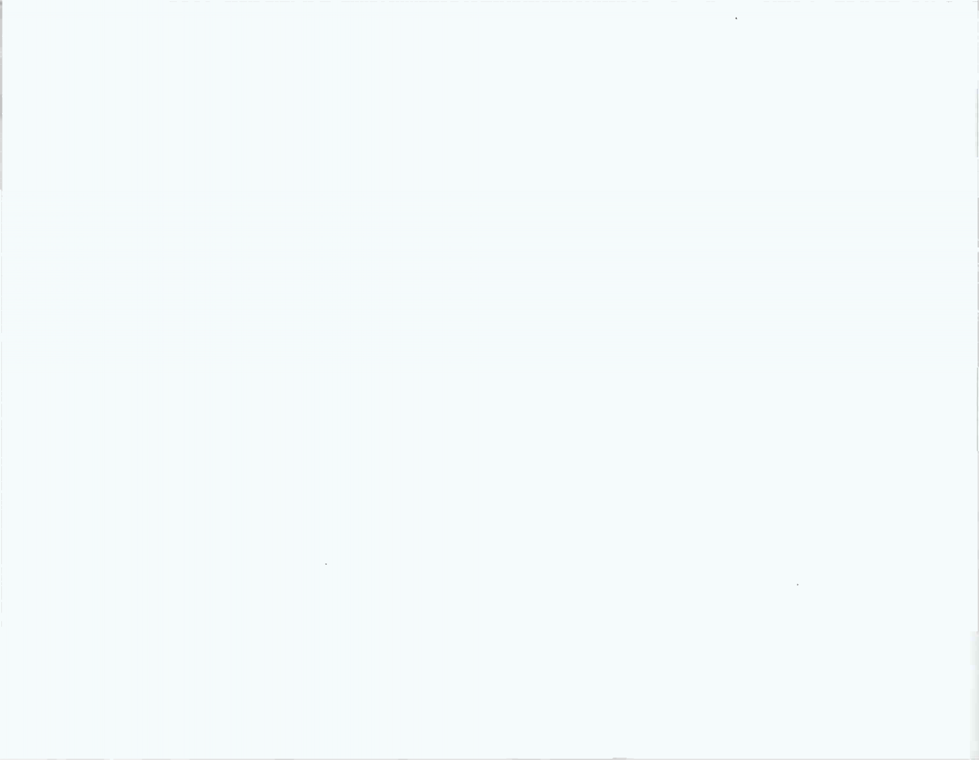$\mathcal{L}^{\text{max}}_{\text{max}}$  .

 $\mathcal{L}(\mathcal{L}(\mathcal{L}(\mathcal{L}(\mathcal{L}(\mathcal{L}(\mathcal{L}(\mathcal{L}(\mathcal{L}(\mathcal{L}(\mathcal{L}(\mathcal{L}(\mathcal{L}(\mathcal{L}(\mathcal{L}(\mathcal{L}(\mathcal{L}(\mathcal{L}(\mathcal{L}(\mathcal{L}(\mathcal{L}(\mathcal{L}(\mathcal{L}(\mathcal{L}(\mathcal{L}(\mathcal{L}(\mathcal{L}(\mathcal{L}(\mathcal{L}(\mathcal{L}(\mathcal{L}(\mathcal{L}(\mathcal{L}(\mathcal{L}(\mathcal{L}(\mathcal{L}(\mathcal{$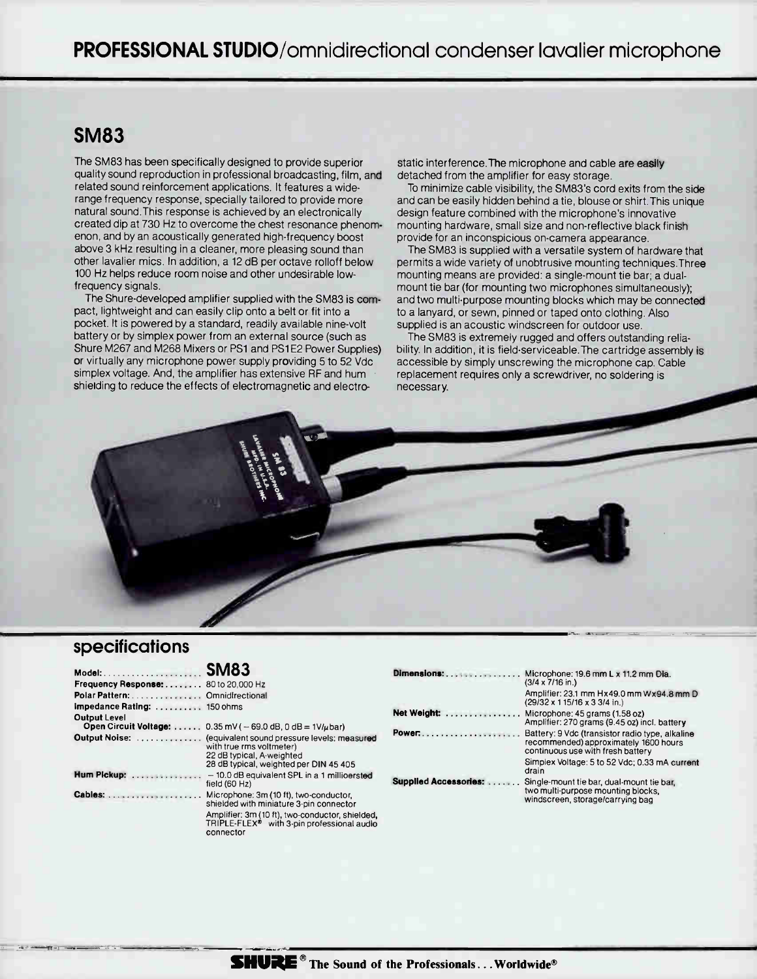# SM83

The SM83 has been specifically designed to provide superior quality sound reproduction in professional broadcasting, film, and related sound reinforcement applications. It features a widerange frequency response, specially tailored to provide more natural sound.This response is achieved by an electronically created dip at 730 Hz to overcome the chest resonance phenomenon, and by an acoustically generated high-frequency boost above 3 kHz resulting in a cleaner, more pleasing sound than other lavalier mics. In addition, a 12 dB per octave rolloff below 100 Hz helps reduce room noise and other undesirable lowfrequency signals.

The Shure-developed amplifier supplied with the SM83 is compact, lightweight and can easily clip onto a belt or fit into a pocket. It is powered by a standard, readily available nine-volt battery or by simplex power from an external source (such as Shure M267 and M268 Mixers or PS1 and PS1E2 Power Supplies) or virtually any microphone power supply providing 5 to 52 Vdc simplex voltage. And, the amplifier has extensive RF and hum shielding to reduce the effects of electromagnetic and electro-

static interference.The microphone and cable are easily detached from the amplifier for easy storage.

To minimize cable visibility, the SM83's cord exits from the side and can be easily hidden behind a tie, blouse or shirt.This unique design feature combined with the microphone's innovative mounting hardware, small size and non-reflective black finish provide for an inconspicious on-camera appearance.

The SM83 is supplied with a versatile system of hardware that permits a wide variety of unobtrusive mounting techniques.Three mounting means are provided: a single-mount tie bar; a dualmount tie bar (for mounting two microphones simultaneously); and two multi-purpose mounting blocks which may be connected to a lanyard, or sewn, pinned or taped onto clothing. Also supplied is an acoustic windscreen for outdoor use.

The SM83 is extremely rugged and offers outstanding reliability. In addition, it is field-serviceable.The cartridge assembly is accessible by simply unscrewing the microphone cap. Cable replacement requires only a screwdriver, no soldering is necessary.



## specifications

#### Model\* SM83

| Frequency Response: 80 to 20,000 Hz |                                                                                                                                                                 |
|-------------------------------------|-----------------------------------------------------------------------------------------------------------------------------------------------------------------|
| Polar Pattern: Omnidirectional      |                                                                                                                                                                 |
| Impedance Rating:  150 ohms         |                                                                                                                                                                 |
| Output Level                        | Open Circuit Voltage:  0.35 mV ( $-69.0$ dB, 0 dB = $1V/\mu$ bar)                                                                                               |
|                                     | <b>Output Noise:</b> (equivalent sound pressure levels: meas<br>with true rms voltmeter)<br>22 dB typical, A weighted<br>28 dB typical, weighted per DIN 45 405 |
|                                     | Hum Pickup:  - 10.0 dB equivalent SPL in a 1 millioers<br>field $(60$ Hz)                                                                                       |
|                                     | Microphone: 3m (10 ft), two-conductor,<br>shielded with miniature 3-pin connector                                                                               |
|                                     | Amplifier: 3m (10 ft), two-conductor, shie                                                                                                                      |

|             | Open Circuit Voltage:  0.35 mV ( $-69.0$ dB, 0 dB = $1$ V/ $\mu$ bar)                                                                                               |
|-------------|---------------------------------------------------------------------------------------------------------------------------------------------------------------------|
|             | <b>Output Noise:</b> (equivalent sound pressure levels: measured<br>with true rms voltmeter)<br>22 dB typical, A-weighted<br>28 dB typical, weighted per DIN 45 405 |
| Hum Pickup: | - 10.0 dB equivalent SPL in a 1 millioersted<br>field $(60$ Hz)                                                                                                     |
|             | Microphone: 3m (10 ft), two-conductor,<br>shielded with miniature 3-pin connector                                                                                   |
|             | Amplifier: 3m (10 ft), two-conductor, shielded,<br>TRIPLE-FLEX <sup>®</sup> with 3-pin professional audio<br>connector                                              |

| Dimensions:                   | Microphone: 19.6 mm L x 11.2 mm Dia.<br>$(3/4 \times 7/16)$ in.)                                                              |
|-------------------------------|-------------------------------------------------------------------------------------------------------------------------------|
|                               | Amplifier: 23.1 mm Hx49.0 mm Wx94.8 mm D<br>$(29/32 \times 115/16 \times 33/4 \text{ in.})$                                   |
| Net Weight:                   | Microphone: 45 grams (1.58 oz)<br>Amplifier: 270 grams (9.45 oz) incl. battery                                                |
| Power                         | Battery: 9 Vdc (transistor radio type, alkaline<br>recommended) approximately 1600 hours<br>continuous use with fresh battery |
|                               | Simplex Voltage: 5 to 52 Vdc; 0.33 mA current<br>drain                                                                        |
| <b>Supplied Accessories: </b> | Single-mount tie bar, dual-mount tie bar.<br>two multi-purpose mounting blocks.<br>windscreen, storage/carrying bag           |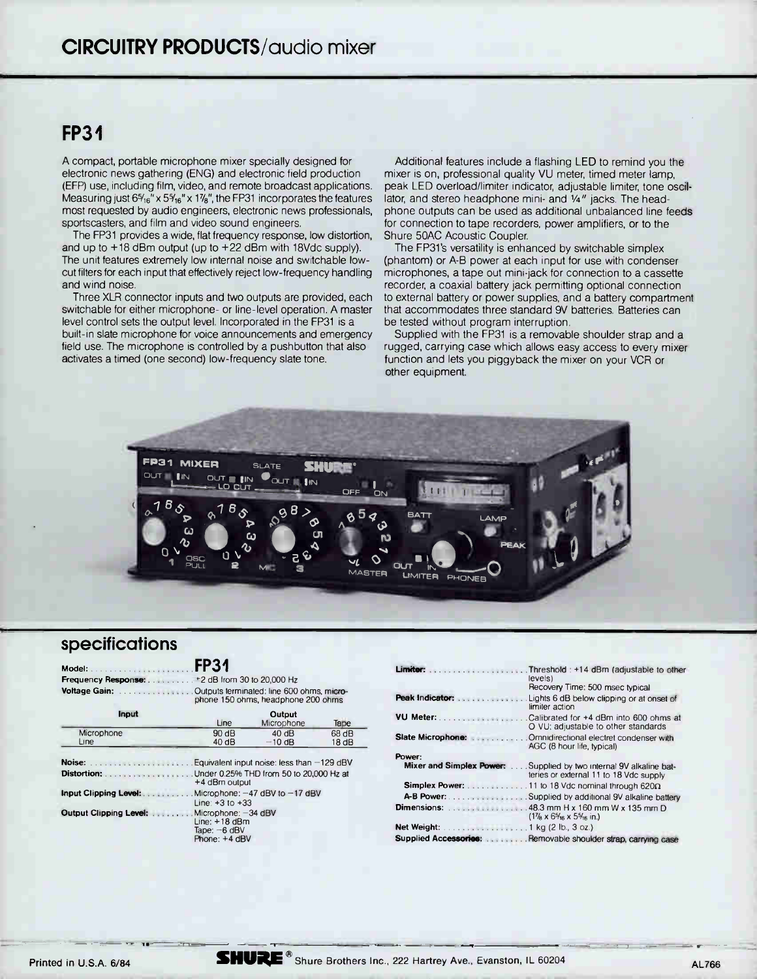# FP31

A compact, portable microphone mixer specially designed for electronic news gathering (ENG) and electronic field production (EFP) use, including film, video, and remote broadcast applications. Measuring just  $6\frac{5}{16}$ " x  $5\frac{5}{16}$ " x  $1\frac{7}{8}$ ", the FP31 incorporates the features most requested by audio engineers, electronic news professionals, sportscasters, and film and video sound engineers.

The FP31 provides a wide, flat frequency response, low distortion, and up to +18 dBm output (up to +22 dBm with 18Vdc supply). The unit features extremely low internal noise and switchable lowcut filters for each input that effectively reject low-frequency handling and wind noise.

Three XLR connector inputs and two outputs are provided, each switchable for either microphone- or line-level operation. A master level control sets the output level. Incorporated in the FP31 is a built-in slate microphone for voice announcements and emergency field use. The microphone is controlled by a pushbutton that also activates a timed (one second) low-frequency slate tone.

Additional features include a flashing LED to remind you the mixer is on, professional quality VU meter, timed meter lamp, peak LED overload/limiter indicator, adjustable limiter, tone oscillator, and stereo headphone mini- and  $\frac{1}{4}$  jacks. The headphone outputs can be used as additional unbalanced line feeds for connection to tape recorders, power amplifiers, or to the Shure 50AC Acoustic Coupler.

The FP31's versatility is enhanced by switchable simplex (phantom) or A-B power at each input for use with condenser microphones, a tape out mini-jack for connection to a cassette recorder, a coaxial battery jack permitting optional connection to external battery or power supplies, and a battery compartment that accommodates three standard 9V batteries. Batteries can be tested without program interruption.

Supplied with the FP31 is a removable shoulder strap and a rugged, carrying case which allows easy access to every mixer function and lets you piggyback the mixer on your VCR or other equipment.



## specifications

Model: FP31

Frequency Response: Voltage Gain: • 2 dB from 30 to 20,000 Hz Outputs terminated: line 600 ohms, microphone 150 ohms, headphone 200 ohms Input **Output** 

|                        | <b>LIBE</b>                                                               | <b>MICRODITORS</b>                           | <b>REDG</b> |
|------------------------|---------------------------------------------------------------------------|----------------------------------------------|-------------|
| Microphone             | 90dB                                                                      | 40dB                                         | $68$ dB     |
| Line                   | 40dB                                                                      | $-10$ dB                                     | 18dB        |
|                        |                                                                           |                                              |             |
|                        |                                                                           | Equivalent input noise: less than $-129$ dBV |             |
| Distortion:            | +4 dBm output                                                             | Under 0.25% THD from 50 to 20,000 Hz at      |             |
| Input Clipping Level:  | Line: $+3$ to $+33$                                                       | Microphone: -47 dBV to -17 dBV               |             |
| Output Clipping Level: | Microphone: -34 dBV<br>Line: $+18$ dBm<br>Tape: $-6$ dBV<br>Phone: +4 dBV |                                              |             |
|                        |                                                                           |                                              |             |

|                                        | Limiter: Threshold: +14 dBm (adjustable to other<br>levels)                                                                                |
|----------------------------------------|--------------------------------------------------------------------------------------------------------------------------------------------|
|                                        | Recovery Time: 500 msec typical                                                                                                            |
| Peak Indicator:                        | Lights 6 dB below clipping or at onset of<br>limiter action                                                                                |
| <b>VU Meter:</b>                       | Calibrated for +4 dBm into 600 ohms at<br>O VU; adjustable to other standards                                                              |
| Slate Microphone:                      | . Omnidirectional electret condenser with<br>AGC (8 hour life, typical)                                                                    |
| Power:                                 |                                                                                                                                            |
|                                        | Mixer and Simplex Power:  Supplied by two internal 9V alkaline bat-<br>teries or external 11 to 18 Vdc supply                              |
|                                        | <b>Simplex Power:</b> 11 to 18 Vdc nominal through $620\Omega$                                                                             |
|                                        | <b>A-B Power:</b> Supplied by additional 9V alkaline battery                                                                               |
|                                        | <b>Dimensions:</b> $\ldots$ , $\ldots$ , $\ldots$ , $\ldots$ , 48.3 mm H x 160 mm W x 135 mm D<br>$(1\% \times 6\% \times 5\% \text{ in})$ |
| <b>Net Weight:</b> 1 kg (2 lb., 3 oz.) |                                                                                                                                            |
|                                        | Supplied Accessories:  Removable shoulder strap, carrying case                                                                             |

le"

-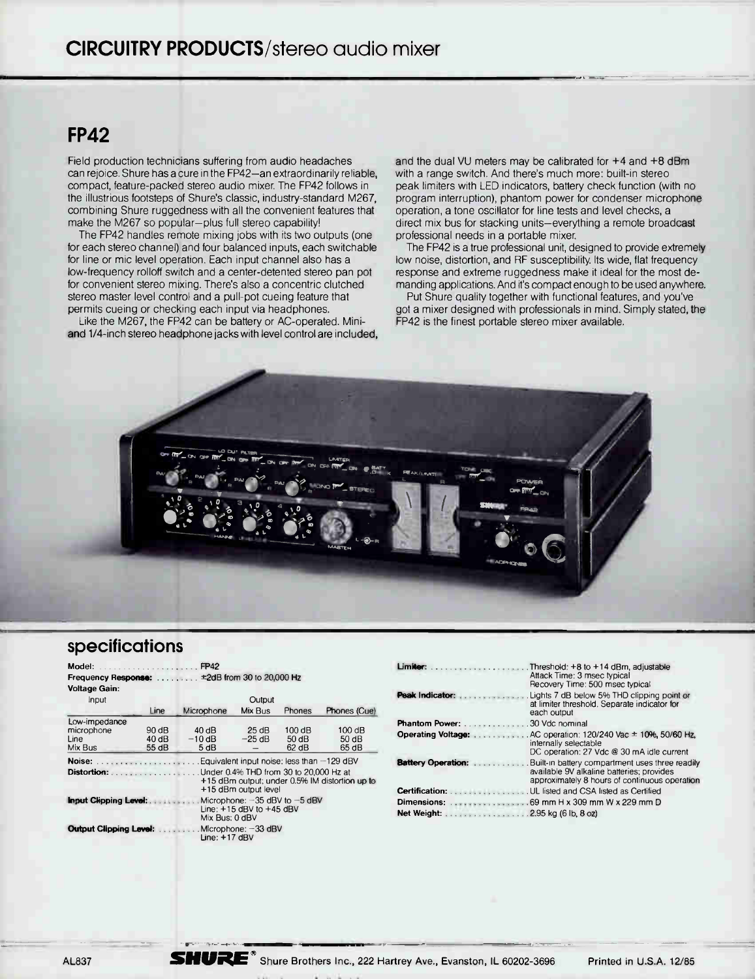# **FP42**

Field production technicians suffering from audio headaches can rejoice. Shure has a cure in the FP42—an extraordinarily reliable, compact, feature-packed stereo audio mixer. The FP42 follows in the illustrious footsteps of Shure's classic, industry-standard M267, combining Shure ruggedness with all the convenient features that make the M267 so popular—plus full stereo capability!

The FP42 handles remote mixing jobs with its two outputs (one for each stereo channel) and four balanced inputs, each switchable for line or mic level operation. Each input channel also has a low-frequency rolloff switch and a center-detented stereo pan pot for convenient stereo mixing. There's also a concentric clutched stereo master level control and a pull-pot cueing feature that permits cueing or checking each input via headphones.

Like the M267, the FP42 can be battery or AC-operated. Miniand 1/4-inch stereo headphone jacks with level control are included, and the dual VU meters may be calibrated for +4 and +8 dBm with a range switch. And there's much more: built-in stereo peak limiters with LED indicators, battery check function (with no program interruption), phantom power for condenser microphone operation, a tone oscillator for line tests and level checks, a direct mix bus for stacking units—everything a remote broadcast professional needs in a portable mixer.

The FP42 is a true professional unit, designed to provide extremely low noise, distortion, and RF susceptibility. Its wide, flat frequency response and extreme ruggedness make it ideal for the most demanding applications. And it's compact enough to be used anywhere.

Put Shure quality together with functional features, and you've got a mixer designed with professionals in mind. Simply stated, the FP42 is the finest portable stereo mixer available.



#### specifications

Model: FP42

Frequency Response: ......... ±2dB from 30 to 20,000 Hz Voltage Gain:

| <b>INDUL</b>                  |       |                 | <b>UUIDUI</b>                                                  |         |                                                |
|-------------------------------|-------|-----------------|----------------------------------------------------------------|---------|------------------------------------------------|
|                               | Line  | Microphone      | Mix Bus                                                        | Phones  | Phones (Cue)                                   |
| Low-impedance                 |       |                 |                                                                |         |                                                |
| microphone                    | 90 dB | 40dB            | 25 dB                                                          | 100dB   | 100dB                                          |
| Line                          | 40dB  | $-10$ dB        | $-25$ dB                                                       | 50dB    | 50dB                                           |
| Mix Bus                       | 55 dB | 5 dB            |                                                                | $62$ dB | 65 dB                                          |
| Noise:                        |       |                 | Equivalent input noise: less than $-129$ dBV                   |         |                                                |
| Distortion:                   |       |                 | Under 0.4% THD from 30 to 20,000 Hz at<br>+15 dBm output level |         | +15 dBm output; under 0.5% IM distortion up to |
| Input Clipping Level:         |       |                 | Microphone: $-35$ dBV to $-5$ dBV                              |         |                                                |
|                               |       | Mix Bus: 0 dBV  | Line: $+15$ dBV to $+45$ dBV                                   |         |                                                |
| <b>Output Clipping Level:</b> |       | Line: $+17$ dBV | Microphone: $-33$ dBV                                          |         |                                                |

|                                      | Threshold: $+8$ to $+14$ dBm, adjustable<br>Attack Time: 3 msec typical<br>Recovery Time: 500 msec typical                                     |
|--------------------------------------|------------------------------------------------------------------------------------------------------------------------------------------------|
| Peak Indicator:                      | Lights 7 dB below 5% THD clipping point or<br>at limiter threshold. Separate indicator for<br>each output                                      |
| <b>Phantom Power:</b> 30 Vdc nominal |                                                                                                                                                |
|                                      | <b>Operating Voltage:</b> AC operation: 120/240 Vac $\pm$ 10%, 50/60 Hz,<br>internally selectable<br>DC operation: 27 Vdc @ 30 mA idle current |
| <b>Battery Operation:</b>            | Built-in battery compartment uses three readily<br>available 9V alkaline batteries; provides<br>approximately 8 hours of continuous operation  |
|                                      | <b>Certification:</b> UL listed and CSA listed as Certified                                                                                    |
|                                      |                                                                                                                                                |
|                                      |                                                                                                                                                |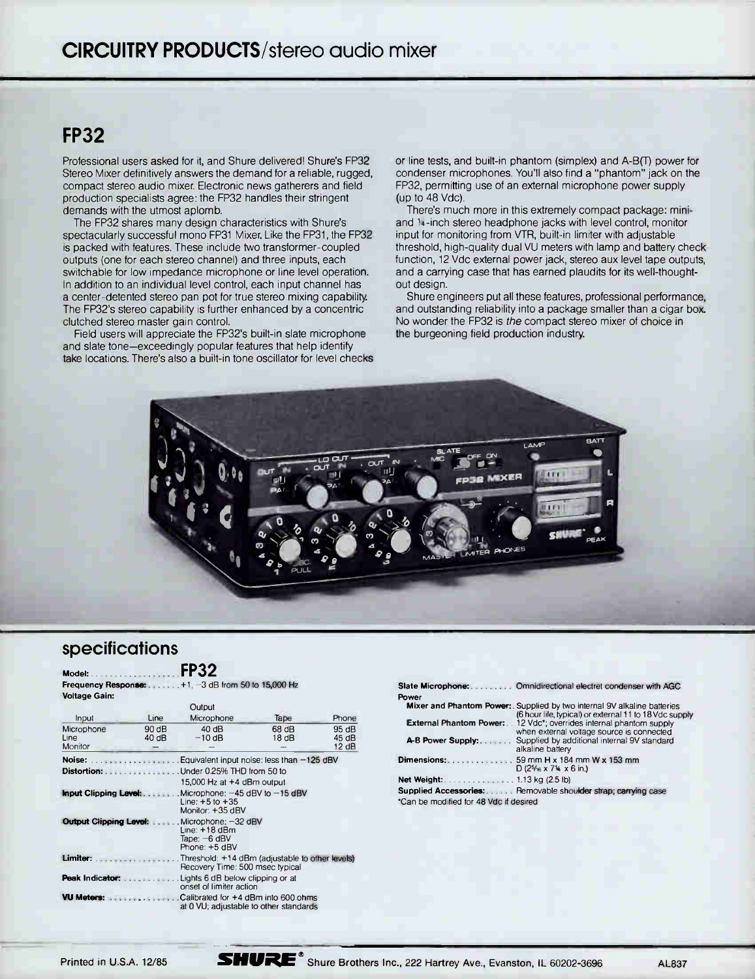# FP32

Professional users asked for it, and Shure delivered! Shure's FP32 Stereo Mixer definitively answers the demand for a reliable, rugged, compact stereo audio mixer. Electronic news gatherers and field production specialists agree: the FP32 handles their stringent demands with the utmost aplomb.

The FP32 shares many design characteristics with Shure's spectacularly successful mono FP31 Mixer. Like the FP31, the FP32 is packed with features. These include two transformer-coupled outputs (one for each stereo channel) and three inputs, each switchable for low impedance microphone or line level operation. In addition to an individual level control, each input channel has a center-detented stereo pan pot for true stereo mixing capability The FP32's stereo capability is further enhanced by a concentric clutched stereo master gain control.

Field users will appreciate the FP32's built-in slate microphone and slate tone—exceedingly popular features that help identify take locations. There's also a built-in tone oscillator for level checks or line tests, and built-in phantom (simplex) and A-B(T) power for condenser microphones. You'll also find a "phantom" jack on the FP32, permitting use of an external microphone power supply (up to 48 Vdc).

There's much more in this extremely compact package: miniand 14-inch stereo headphone jacks with level control, monitor input for monitoring from VTR, built-in limiter with adjustable threshold, high-quality dual VU meters with lamp and battery check function, 12 Vdc external power jack, stereo aux level tape outputs, and a carrying case that has earned plaudits for its well-thoughtout design.

Shure engineers put all these features, professional performance, and outstanding reliability into a package smaller than a cigar box. No wonder the FP32 is the compact stereo mixer of choice in the burgeoning field production industry



#### specifications

#### Model: FP32

**Frequency Response: . . . . . . . +1, -3 dB from 50 to 15,000 Hz** Voltage Gain:

|                               |                | Output                                                                             |                 |                         |
|-------------------------------|----------------|------------------------------------------------------------------------------------|-----------------|-------------------------|
| Input                         | Line           | Microphone                                                                         | Tape            | Phone                   |
| Microphone<br>Line<br>Monitor | 90 dB<br>40 dB | 40dB<br>$-10$ dB                                                                   | $68$ dB<br>18dB | 95 dB<br>45 dB<br>12 dB |
| Noise:                        |                | Equivalent input noise: less than -125 dBV                                         |                 |                         |
| Distortion:                   |                | Under 0.25% THD from 50 to                                                         |                 |                         |
|                               |                | 15,000 Hz at $+4$ dBm output                                                       |                 |                         |
| <b>Input Clipping Level:</b>  |                | Microphone: $-45$ dBV to $-15$ dBV<br>Line: $+5$ to $+35$<br>Monitor: +35 dBV      |                 |                         |
| <b>Output Clipping Level:</b> |                | Microphone: -32 dBV<br>Line: +18 dBm<br>Tape: –6 dBV<br>Phone: +5 dBV              |                 |                         |
| Limiter:                      |                | Threshold: +14 dBm (adjustable to other levels)<br>Recovery Time: 500 msec typical |                 |                         |
| Peak Indicator:               |                | Lights 6 dB below clipping or at<br>onset of limiter action                        |                 |                         |
| VU Meters:                    |                | Calibrated for +4 dBm into 600 ohms<br>at 0 VU; adjustable to other standards      |                 |                         |

|                                        | Slate Microphone: Omnidirectional electret condenser with AGC                                                                                            |
|----------------------------------------|----------------------------------------------------------------------------------------------------------------------------------------------------------|
| Power                                  |                                                                                                                                                          |
|                                        | <b>Mixer and Phantom Power:</b> Supplied by two internal 9V alkaline batteries<br>(6 hour life, typical) or external 11 to 18 Vdc supply                 |
|                                        | External Phantom Power: 12 Vdc*; overrides internal phantom supply                                                                                       |
| A-B Power Supply:                      | when external voltage source is connected<br>Supplied by additional internal 9V standard<br>alkaline battery                                             |
|                                        | <b>Dimensions:</b> $\ldots$ $\ldots$ $\ldots$ . 59 mm H $\times$ 184 mm W $\times$ 153 mm<br>$D(2\frac{5}{16} \times 7\frac{1}{4} \times 6 \text{ in.})$ |
| <b>Net Weight:</b> 1.13 kg (2.5 lb)    |                                                                                                                                                          |
|                                        | <b>Supplied Accessories:</b> Removable shoulder strap; carrying case                                                                                     |
| *Can be modified for 48 Vdc if desired |                                                                                                                                                          |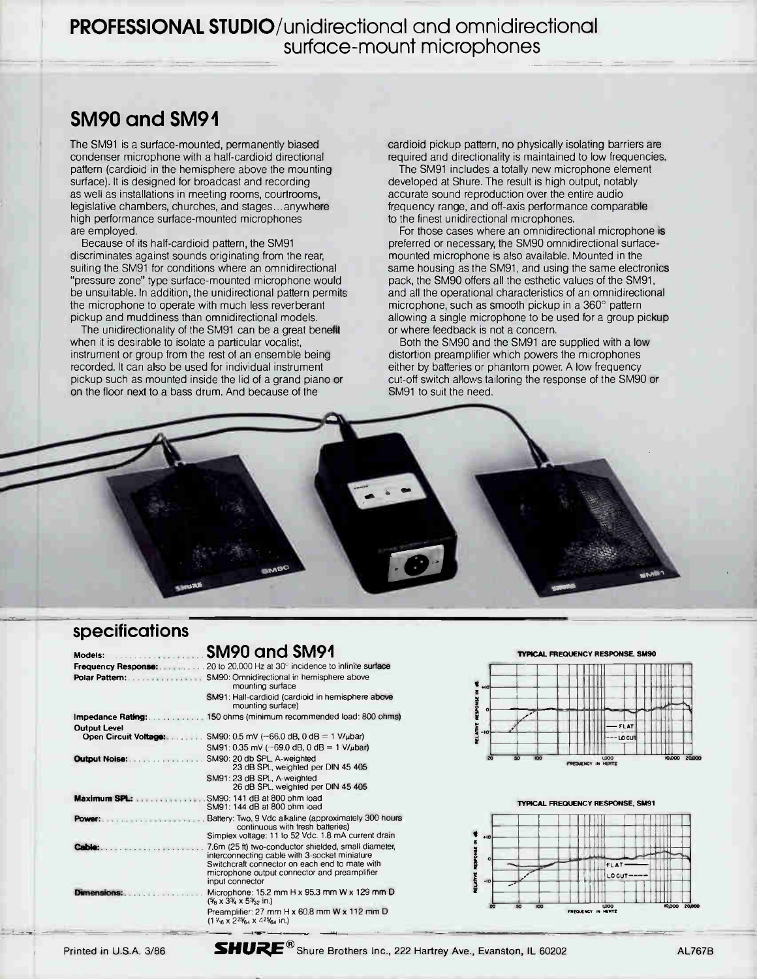## PROFESSIONAL STUDIO/unidirectional and omnidirectional surface-mount microphones

# SM90 and SM91

The SM91 is a surface-mounted, permanently biased condenser microphone with a half-cardioid directional pattern (cardioid in the hemisphere above the mounting surface). It is designed for broadcast and recording as well as installations in meeting rooms, courtrooms, legislative chambers, churches, and stages...anywhere high performance surface-mounted microphones are employed.

Because of its half-cardioid pattern, the SM91 discriminates against sounds originating from the rear, suiting the SM91 for conditions where an omnidirectional "pressure zone" type surface-mounted microphone would be unsuitable. In addition, the unidirectional pattern permits the microphone to operate with much less reverberant pickup and muddiness than omnidirectional models.

The unidirectionality of the SM91 can be a great benefit when it is desirable to isolate a particular vocalist, instrument or group from the rest of an ensemble being recorded. It can also be used for individual instrument pickup such as mounted inside the lid of a grand piano or on the floor next to a bass drum. And because of the

cardioid pickup pattern, no physically isolating barriers are required and directionality is maintained to low frequencies.

The SM91 includes a totally new microphone element developed at Shure. The result is high output, notably accurate sound reproduction over the entire audio frequency range, and off-axis performance comparable to the finest unidirectional microphones.

For those cases where an omnidirectional microphone is preferred or necessary, the SM90 omnidirectional surfacemounted microphone is also available. Mounted in the same housing as the SM91, and using the same electronics pack, the SM90 offers all the esthetic values of the SM91, and all the operational characteristics of an omnidirectional microphone, such as smooth pickup in a 360° pattern allowing a single microphone to be used for a group pickup or where feedback is not a concern.

Both the SM90 and the SM91 are supplied with a low distortion preamplifier which powers the microphones either by batteries or phantom power. A low frequency cut-off switch allows tailoring the response of the SM90 or SM91 to suit the need.



## specifications

#### Models: SM90 and SM91

|                                             | <b>Frequency Response:</b> 20 to 20,000 Hz at 30° incidence to infinite surface                                                                                                                                            |
|---------------------------------------------|----------------------------------------------------------------------------------------------------------------------------------------------------------------------------------------------------------------------------|
|                                             | <b>Polar Pattern:</b> SM90: Omnidirectional in hemisphere above<br>mounting surface                                                                                                                                        |
|                                             | SM91: Half-cardioid (cardioid in hemisphere above<br>mounting surface)                                                                                                                                                     |
| Impedance Rating: .                         | 150 ohms (minimum recommended load: 800 ohms)                                                                                                                                                                              |
| <b>Output Level</b>                         |                                                                                                                                                                                                                            |
| Open Circuit Voltage:                       | SM90: 0.5 mV (-66.0 dB, 0 dB = 1 V/ $\mu$ bar)                                                                                                                                                                             |
|                                             | SM91: 0.35 mV (-69.0 dB, 0 dB = 1 V/ $\mu$ bar)                                                                                                                                                                            |
| Output Noise:<br>and the series of the con- | SM90: 20 db SPL, A-weighted<br>23 dB SPL, weighted per DIN 45 405                                                                                                                                                          |
|                                             | SM91: 23 dB SPL, A-weighted<br>26 dB SPL, weighted per DIN 45 405                                                                                                                                                          |
| Maximum SPL:                                | SM90: 141 dB at 800 ohm load<br>SM91: 144 dB at 800 ohm load                                                                                                                                                               |
| Power:                                      | Battery: Two, 9 Vdc alkaline (approximately 300 hours<br>continuous with fresh batteries)<br>Simplex voltage: 11 to 52 Vdc. 1.8 mA current drain                                                                           |
| Cahio <sup>.</sup>                          | 7.6m (25 ft) two-conductor shielded, small diameter,<br>interconnecting cable with 3-socket miniature<br>Switchcraft connector on each end to mate with<br>microphone output connector and preamplifier<br>input connector |
| Dumensions:                                 | Microphone: $15.2$ mm H x 95.3 mm W x 129 mm D<br>$(\frac{5}{8} \times 3\frac{3}{4} \times 5\frac{3}{32} \text{ in.})$                                                                                                     |
|                                             | Preamplifier: 27 mm H x 60.8 mm W x 112 mm D<br>$(1 \text{ V}_{16} \times 2^{25} \text{ K}_{4} \times 4^{25} \text{ K}_{4} \text{ in.})$                                                                                   |
|                                             |                                                                                                                                                                                                                            |







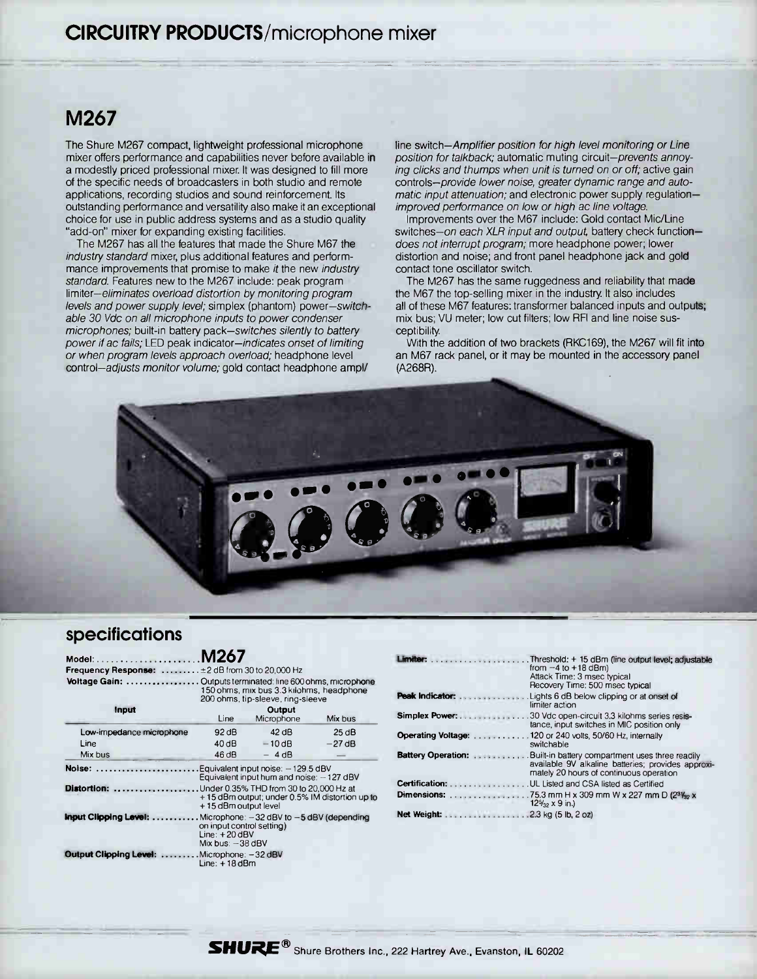# CIRCUITRY PRODUCTS/microphone mixer

# M267

The Shure M267 compact, lightweight professional microphone mixer offers performance and capabilities never before available in a modestly priced professional mixer. It was designed to fill more of the specific needs of broadcasters in both studio and remote applications, recording studios and sound reinforcement. Its outstanding performance and versatility also make it an exceptional choice for use in public address systems and as a studio quality "add-on" mixer for expanding existing facilities.

The M267 has all the features that made the Shure M67 the industry standard mixer, plus additional features and performmance improvements that promise to make it the new industry standard. Features new to the M267 include: peak program limiter—eliminates overload distortion by monitoring program levels and power supply level; simplex (phantom) power—switchable 30 Vdc on all microphone inputs to power condenser microphones; built-in battery pack—switches silently to battery power if ac fails; LED peak indicator—indicates onset of limiting or when program levels approach overload; headphone level control-adjusts monitor volume; gold contact headphone ampl/

line switch—Amplifier position for high level monitoring or Line position for talkback; automatic muting circuit—prevents annoying clicks and thumps when unit is turned on or off; active gain controls—provide lower noise, greater dynamic range and automatic input attenuation; and electronic power supply regulation improved performance on low or high ac line voltage.

Improvements over the M67 include: Gold contact Mic/Line switches—on each XLR input and output, battery check function does not interrupt program; more headphone power; lower distortion and noise; and front panel headphone jack and gold contact tone oscillator switch.

The M267 has the same ruggedness and reliability that made the M67 the top-selling mixer in the industry. It also includes all of these M67 features: transformer balanced inputs and outputs; mix bus; VU meter; low cut filters; low RFI and line noise susceptibility.

With the addition of two brackets (RKC169), the M267 will fit into an M67 rack panel, or it may be mounted in the accessory panel (A268R).



#### specifications

| Model: $\ldots$ , $\ldots$ , $\ldots$ , $\ldots$ , $\ldots$ , $\ldots$                           | M267                                                               |                                                                                 |                                                |
|--------------------------------------------------------------------------------------------------|--------------------------------------------------------------------|---------------------------------------------------------------------------------|------------------------------------------------|
| Frequency Response: $\dots\dots \dots = 2$ dB from 30 to 20,000 Hz                               |                                                                    |                                                                                 |                                                |
| Voltage Gain:  Outputs terminated: line 600 ohms, microphone                                     |                                                                    | 150 ohms, mix bus 3.3 kilohms, headphone<br>200 ohms, tip-sleeve, ring-sleeve   |                                                |
| Input                                                                                            | Line                                                               | Output<br>Microphone                                                            | Mix bus                                        |
| Low-impedance microphone                                                                         | 92 dB                                                              | 42 dB                                                                           | $25$ dB                                        |
| Line                                                                                             | 40dB                                                               | $-10$ dB                                                                        | $-27$ dB                                       |
| Mix bus                                                                                          | $46$ dB                                                            | $-4dB$                                                                          |                                                |
| Noise:                                                                                           |                                                                    | Equivalent input noise: -129.5 dBV<br>Equivalent input hum and noise: - 127 dBV |                                                |
| <b>Distortion:</b> Under 0.35% THD from 30 to 20,000 Hz at                                       | +15 dBm output level                                               |                                                                                 | +15 dBm output; under 0.5% IM distortion up to |
| <b>Input Clipping Level:</b> $\ldots \ldots \ldots$ Microphone: $-32$ dBV to $-5$ dBV (depending | on input control setting)<br>Line: $+20$ dBV<br>Mix bus: $-38$ dBV |                                                                                 |                                                |
| Output Clipping Level: Microphone: -32 dBV                                                       | Line: $+18$ dBm                                                    |                                                                                 |                                                |

|                    | from $-4$ to $+18$ dBm)                                                                                                         |
|--------------------|---------------------------------------------------------------------------------------------------------------------------------|
|                    | Attack Time: 3 msec typical                                                                                                     |
|                    | Recovery Time: 500 msec typical                                                                                                 |
| Peak Indicator:    | Lights 6 dB below clipping or at onset of<br>limiter action                                                                     |
| Simplex Power:     | 30 Vdc open-circuit 3.3 kilohms series resis-<br>tance, input switches in MIC position only                                     |
| Operating Voltage: | .120 or 240 volts, 50/60 Hz. internally<br>switchable                                                                           |
|                    | <b>Battery Operation:</b> Built-in battery compartment uses three readily<br>available 9V alkaline batteries; provides approxi- |
|                    | mately 20 hours of continuous operation                                                                                         |
| Certification:     | UL Listed and CSA listed as Certified                                                                                           |
|                    | $12\frac{5}{32} \times 9$ in.)                                                                                                  |
|                    |                                                                                                                                 |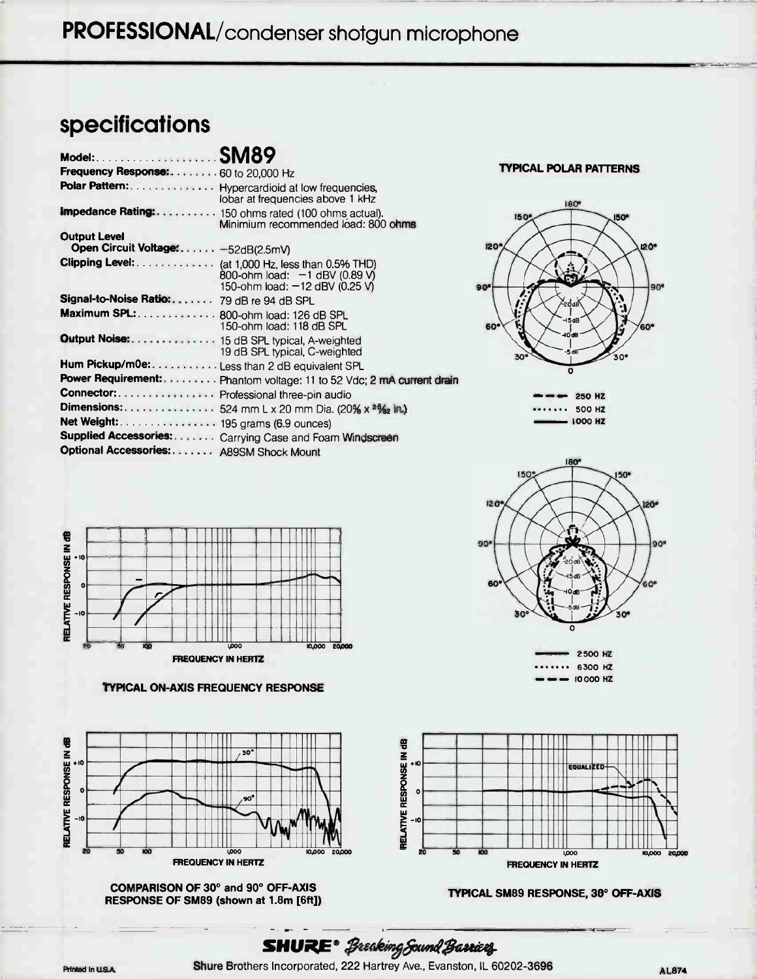PROFESSIONAL/condenser shotgun microphone

# specifications

| Frequency Response: 60 to 20,000 Hz            |                                                                                                                      |
|------------------------------------------------|----------------------------------------------------------------------------------------------------------------------|
|                                                | Polar Pattern: Hypercardioid at low frequencies,<br>lobar at frequencies above 1 kHz                                 |
|                                                | Impedance Rating: 150 ohms rated (100 ohms actual).<br>Minimium recommended load: 800 ohms                           |
| <b>Output Level</b>                            |                                                                                                                      |
| Open Circuit Voltage: -52dB(2.5mV)             |                                                                                                                      |
|                                                | Clipping Level: (at 1,000 Hz, less than 0.5% THD)<br>800-ohm load: -1 dBV (0.89 V)<br>150-ohm load: -12 dBV (0.25 V) |
| Signal-to-Noise Ratio: 79 dB re 94 dB SPL      |                                                                                                                      |
| Maximum SPL: 800-ohm load: 126 dB SPL          | 150-ohm load: 118 dB SPL                                                                                             |
| Output Noise: 15 dB SPL typical, A-weighted    | 19 dB SPL typical, C-weighted                                                                                        |
| Hum Pickup/m0e: Less than 2 dB equivalent SPL  |                                                                                                                      |
|                                                | Power Requirement: Phantom voltage: 11 to 52 Vdc; 2 mA current drain                                                 |
| <b>Connector:</b> Professional three-pin audio |                                                                                                                      |
|                                                | Dimensions: 524 mm L x 20 mm Dia. (20% x 2%2 in.)                                                                    |
| Net Weight: 195 grams (6.9 ounces)             |                                                                                                                      |
|                                                | Supplied Accessories: Carrying Case and Foam Windscreen                                                              |
| Optional Accessories: A89SM Shock Mount        |                                                                                                                      |









2 500 HZ .. 6300 HZ ••• 10 000 HZ







TYPICAL ON-AXIS FREQUENCY RESPONSE



COMPARISON OF 30° and 90° OFF-AXIS RESPONSE OF SM89 (shown at 1.8m [6ft])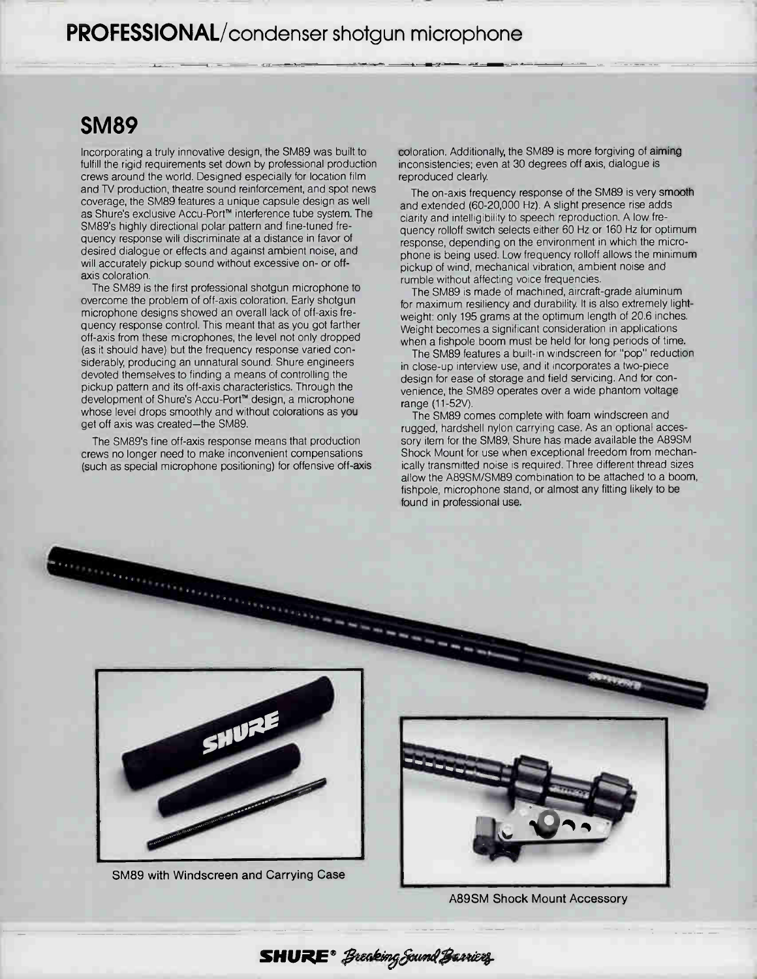# PROFESSIONAL/condenser shotgun microphone

# SM89

**CONTRACTOR** 

Incorporating a truly innovative design, the SM89 was built to fulfill the rigid requirements set down by professional production crews around the world. Designed especially for location film and TV production, theatre sound reinforcement, and spot news coverage, the SM89 features a unique capsule design as well as Shure's exclusive Accu-Port<sup>™</sup> interference tube system. The SM89's highly directional polar pattern and fine-tuned frequency response will discriminate at a distance in favor of desired dialogue or effects and against ambient noise, and will accurately pickup sound without excessive on- or offaxis coloration.

The SM89 is the first professional shotgun microphone to overcome the problem of off-axis coloration. Early shotgun microphone designs showed an overall lack of off-axis frequency response control. This meant that as you got farther off-axis from these microphones, the level not only dropped (as it should have) but the frequency response varied considerably, producing an unnatural sound. Shure engineers devoted themselves to finding a means of controlling the pickup pattern and its off-axis characteristics. Through the development of Shure's Accu-Port<sup>™</sup> design, a microphone whose level drops smoothly and without colorations as you get off axis was created—the SM89.

The SM89's fine off-axis response means that production crews no longer need to make inconvenient compensations (such as special microphone positioning) for offensive off-axis coloration. Additionally, the SM89 is more forgiving of aiming inconsistencies; even at 30 degrees off axis, dialogue is reproduced clearly.

The on-axis frequency response of the SM89 is very smooth and extended (60-20,000 Hz). A slight presence rise adds clarity and intelligibility to speech reproduction. A low frequency rolloff switch selects either 60 Hz or 160 Hz for optimum response, depending on the environment in which the microphone is being used. Low frequency rolloff allows the minimum pickup of wind, mechanical vibration, ambient noise and rumble without affecting voice frequencies.

The SM89 is made of machined, aircraft-grade aluminum for maximum resiliency and durability. It is also extremely lightweight: only 195 grams at the optimum length of 20.6 inches. Weight becomes a significant consideration in applications when a fishpole boom must be held for long periods of time.

The SM89 features a built-in windscreen for "pop" reduction in close-up interview use, and it incorporates a two-piece design for ease of storage and field servicing. And for convenience, the SM89 operates over a wide phantom voltage range (11-52V).

The SM89 comes complete with foam windscreen and rugged, hardshell nylon carrying case. As an optional accessory item for the SM89, Shure has made available the A89SM Shock Mount for use when exceptional freedom from mechanically transmitted noise is required. Three different thread sizes allow the A89SM/SM89 combination to be attached to a boom, fishpole, microphone stand, or almost any fitting likely to be found in professional use.



SM89 with Windscreen and Carrying Case



A89SM Shock Mount Accessory

SHURE<sup>®</sup> Breaking Sound Barriers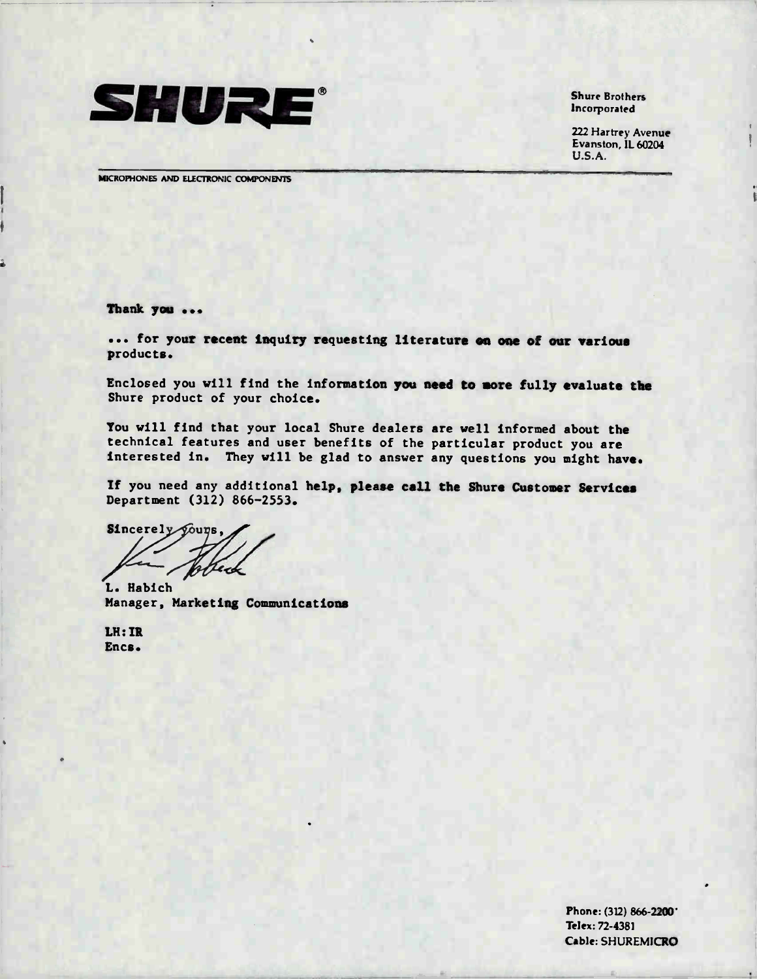

Incorporated

222 Hartrey Avenue Evanston, IL 60204 U.S.A.

MICROPHONES AND ELECTRONIC COMPONENTS

Thank you ...

... for your recent inquiry requesting literature on one of our various products.

Enclosed you will find the information you need to more fully evaluate the Shure product of your choice.

You will find that your local Shure dealers are well informed about the technical features and user benefits of the particular product you are interested in. They will be glad to answer any questions you might have.

If you need any additional help, please call the Shure Customer Services Department (312) 866-2553.

Sincerely Youns,

L. Habich L. Habich<br>Manager, Marketing Communications

LH:IR Encs.

> Phone: (312) 866-2200 Telex: 72-4381 Cable: SHUREMICRO